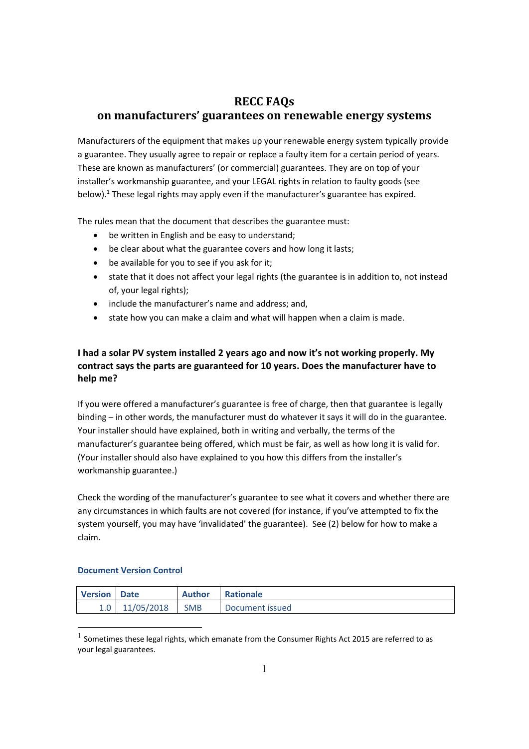## **RECC FAQs**

# **on manufacturers' guarantees on renewable energy systems**

Manufacturers of the equipment that makes up your renewable energy system typically provide a guarantee. They usually agree to repair or replace a faulty item for a certain period of years. These are known as manufacturers' (or commercial) guarantees. They are on top of your installer's workmanship guarantee, and your LEGAL rights in relation to faulty goods (see below).<sup>1</sup> These legal rights may apply even if the manufacturer's guarantee has expired.

The rules mean that the document that describes the guarantee must:

- be written in English and be easy to understand;
- be clear about what the guarantee covers and how long it lasts;
- be available for you to see if you ask for it;
- state that it does not affect your legal rights (the guarantee is in addition to, not instead of, your legal rights);
- include the manufacturer's name and address; and,
- state how you can make a claim and what will happen when a claim is made.

### **I had a solar PV system installed 2 years ago and now it's not working properly. My contract says the parts are guaranteed for 10 years. Does the manufacturer have to help me?**

If you were offered a manufacturer's guarantee is free of charge, then that guarantee is legally binding – in other words, the manufacturer must do whatever it says it will do in the guarantee. Your installer should have explained, both in writing and verbally, the terms of the manufacturer's guarantee being offered, which must be fair, as well as how long it is valid for. (Your installer should also have explained to you how this differs from the installer's workmanship guarantee.)

Check the wording of the manufacturer's guarantee to see what it covers and whether there are any circumstances in which faults are not covered (for instance, if you've attempted to fix the system yourself, you may have 'invalidated' the guarantee). See (2) below for how to make a claim.

#### **Document Version Control**

| <b>Version Date</b> |                  |            | <b>Author Rationale</b> |
|---------------------|------------------|------------|-------------------------|
|                     | $1.0$ 11/05/2018 | <b>SMB</b> | Document issued         |

 $<sup>1</sup>$  Sometimes these legal rights, which emanate from the Consumer Rights Act 2015 are referred to as</sup> your legal guarantees.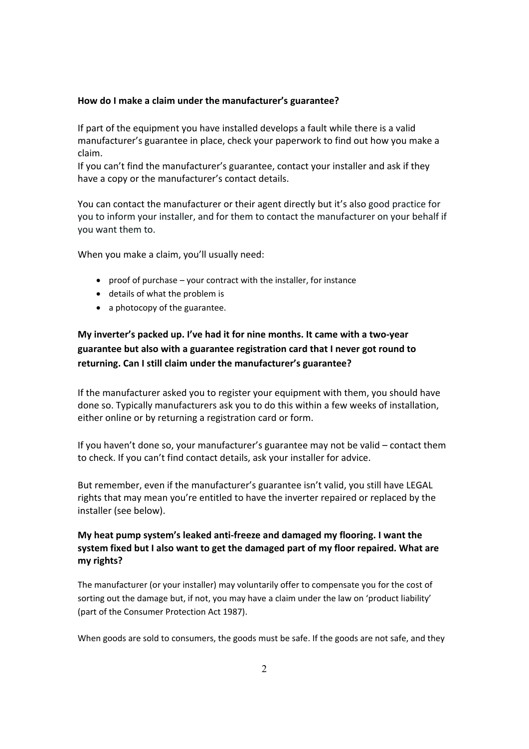#### **How do I make a claim under the manufacturer's guarantee?**

If part of the equipment you have installed develops a fault while there is a valid manufacturer's guarantee in place, check your paperwork to find out how you make a claim.

If you can't find the manufacturer's guarantee, contact your installer and ask if they have a copy or the manufacturer's contact details.

You can contact the manufacturer or their agent directly but it's also good practice for you to inform your installer, and for them to contact the manufacturer on your behalf if you want them to.

When you make a claim, you'll usually need:

- proof of purchase your contract with the installer, for instance
- details of what the problem is
- a photocopy of the guarantee.

# **My inverter's packed up. I've had it for nine months. It came with a two‐year guarantee but also with a guarantee registration card that I never got round to returning. Can I still claim under the manufacturer's guarantee?**

If the manufacturer asked you to register your equipment with them, you should have done so. Typically manufacturers ask you to do this within a few weeks of installation, either online or by returning a registration card or form.

If you haven't done so, your manufacturer's guarantee may not be valid – contact them to check. If you can't find contact details, ask your installer for advice.

But remember, even if the manufacturer's guarantee isn't valid, you still have LEGAL rights that may mean you're entitled to have the inverter repaired or replaced by the installer (see below).

### **My heat pump system's leaked anti‐freeze and damaged my flooring. I want the system fixed but I also want to get the damaged part of my floor repaired. What are my rights?**

The manufacturer (or your installer) may voluntarily offer to compensate you for the cost of sorting out the damage but, if not, you may have a claim under the law on 'product liability' (part of the Consumer Protection Act 1987).

When goods are sold to consumers, the goods must be safe. If the goods are not safe, and they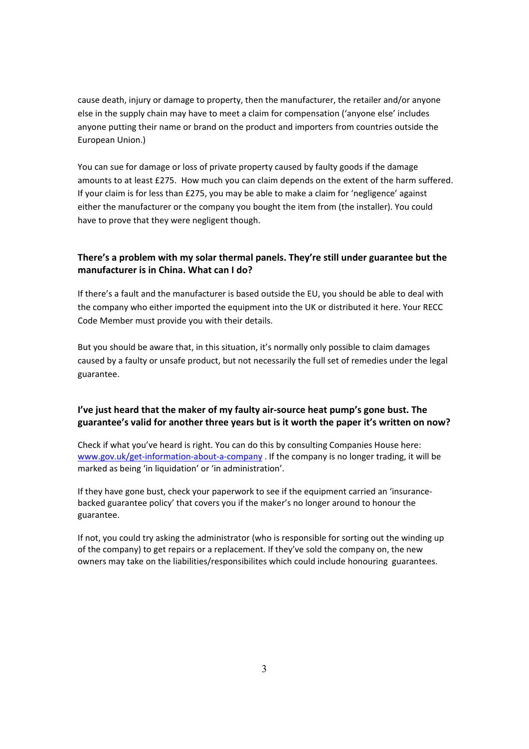cause death, injury or damage to property, then the manufacturer, the retailer and/or anyone else in the supply chain may have to meet a claim for compensation ('anyone else' includes anyone putting their name or brand on the product and importers from countries outside the European Union.)

You can sue for damage or loss of private property caused by faulty goods if the damage amounts to at least £275. How much you can claim depends on the extent of the harm suffered. If your claim is for less than £275, you may be able to make a claim for 'negligence' against either the manufacturer or the company you bought the item from (the installer). You could have to prove that they were negligent though.

### **There's a problem with my solar thermal panels. They're still under guarantee but the manufacturer is in China. What can I do?**

If there's a fault and the manufacturer is based outside the EU, you should be able to deal with the company who either imported the equipment into the UK or distributed it here. Your RECC Code Member must provide you with their details.

But you should be aware that, in this situation, it's normally only possible to claim damages caused by a faulty or unsafe product, but not necessarily the full set of remedies under the legal guarantee.

### **I've just heard that the maker of my faulty air‐source heat pump's gone bust. The guarantee's valid for another three years but is it worth the paper it's written on now?**

Check if what you've heard is right. You can do this by consulting Companies House here: www.gov.uk/get-information-about-a-company . If the company is no longer trading, it will be marked as being 'in liquidation' or 'in administration'.

If they have gone bust, check your paperwork to see if the equipment carried an 'insurance‐ backed guarantee policy' that covers you if the maker's no longer around to honour the guarantee.

If not, you could try asking the administrator (who is responsible for sorting out the winding up of the company) to get repairs or a replacement. If they've sold the company on, the new owners may take on the liabilities/responsibilites which could include honouring guarantees.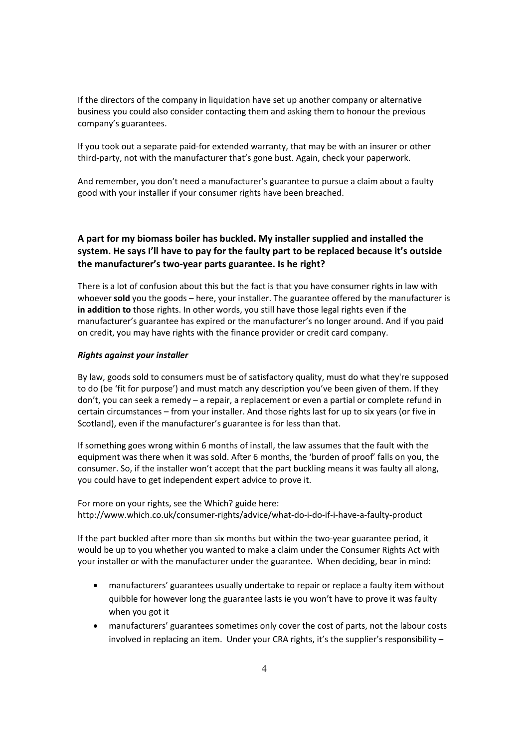If the directors of the company in liquidation have set up another company or alternative business you could also consider contacting them and asking them to honour the previous company's guarantees.

If you took out a separate paid‐for extended warranty, that may be with an insurer or other third‐party, not with the manufacturer that's gone bust. Again, check your paperwork.

And remember, you don't need a manufacturer's guarantee to pursue a claim about a faulty good with your installer if your consumer rights have been breached.

### **A part for my biomass boiler has buckled. My installer supplied and installed the system. He says I'll have to pay for the faulty part to be replaced because it's outside the manufacturer's two‐year parts guarantee. Is he right?**

There is a lot of confusion about this but the fact is that you have consumer rights in law with whoever **sold** you the goods – here, your installer. The guarantee offered by the manufacturer is **in addition to** those rights. In other words, you still have those legal rights even if the manufacturer's guarantee has expired or the manufacturer's no longer around. And if you paid on credit, you may have rights with the finance provider or credit card company.

#### *Rights against your installer*

By law, goods sold to consumers must be of satisfactory quality, must do what they're supposed to do (be 'fit for purpose') and must match any description you've been given of them. If they don't, you can seek a remedy – a repair, a replacement or even a partial or complete refund in certain circumstances – from your installer. And those rights last for up to six years (or five in Scotland), even if the manufacturer's guarantee is for less than that.

If something goes wrong within 6 months of install, the law assumes that the fault with the equipment was there when it was sold. After 6 months, the 'burden of proof' falls on you, the consumer. So, if the installer won't accept that the part buckling means it was faulty all along, you could have to get independent expert advice to prove it.

For more on your rights, see the Which? guide here: http://www.which.co.uk/consumer‐rights/advice/what‐do‐i‐do‐if‐i‐have‐a‐faulty‐product

If the part buckled after more than six months but within the two‐year guarantee period, it would be up to you whether you wanted to make a claim under the Consumer Rights Act with your installer or with the manufacturer under the guarantee. When deciding, bear in mind:

- manufacturers' guarantees usually undertake to repair or replace a faulty item without quibble for however long the guarantee lasts ie you won't have to prove it was faulty when you got it
- manufacturers' guarantees sometimes only cover the cost of parts, not the labour costs involved in replacing an item. Under your CRA rights, it's the supplier's responsibility –